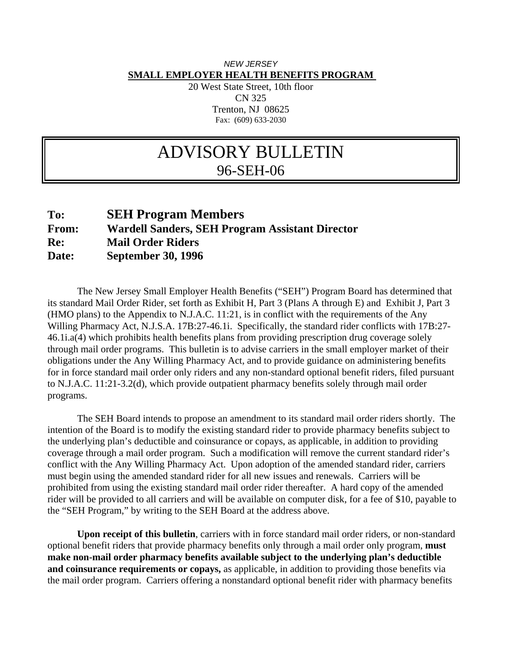## *NEW JERSEY*  **SMALL EMPLOYER HEALTH BENEFITS PROGRAM**

20 West State Street, 10th floor CN 325 Trenton, NJ 08625 Fax: (609) 633-2030

## ADVISORY BULLETIN 96-SEH-06

## **To: SEH Program Members From: Wardell Sanders, SEH Program Assistant Director Re: Mail Order Riders Date: September 30, 1996**

 The New Jersey Small Employer Health Benefits ("SEH") Program Board has determined that its standard Mail Order Rider, set forth as Exhibit H, Part 3 (Plans A through E) and Exhibit J, Part 3 (HMO plans) to the Appendix to N.J.A.C. 11:21, is in conflict with the requirements of the Any Willing Pharmacy Act, N.J.S.A. 17B:27-46.1i. Specifically, the standard rider conflicts with 17B:27- 46.1i.a(4) which prohibits health benefits plans from providing prescription drug coverage solely through mail order programs. This bulletin is to advise carriers in the small employer market of their obligations under the Any Willing Pharmacy Act, and to provide guidance on administering benefits for in force standard mail order only riders and any non-standard optional benefit riders, filed pursuant to N.J.A.C. 11:21-3.2(d), which provide outpatient pharmacy benefits solely through mail order programs.

 The SEH Board intends to propose an amendment to its standard mail order riders shortly. The intention of the Board is to modify the existing standard rider to provide pharmacy benefits subject to the underlying plan's deductible and coinsurance or copays, as applicable, in addition to providing coverage through a mail order program. Such a modification will remove the current standard rider's conflict with the Any Willing Pharmacy Act. Upon adoption of the amended standard rider, carriers must begin using the amended standard rider for all new issues and renewals. Carriers will be prohibited from using the existing standard mail order rider thereafter. A hard copy of the amended rider will be provided to all carriers and will be available on computer disk, for a fee of \$10, payable to the "SEH Program," by writing to the SEH Board at the address above.

**Upon receipt of this bulletin**, carriers with in force standard mail order riders, or non-standard optional benefit riders that provide pharmacy benefits only through a mail order only program, **must make non-mail order pharmacy benefits available subject to the underlying plan's deductible and coinsurance requirements or copays,** as applicable, in addition to providing those benefits via the mail order program. Carriers offering a nonstandard optional benefit rider with pharmacy benefits